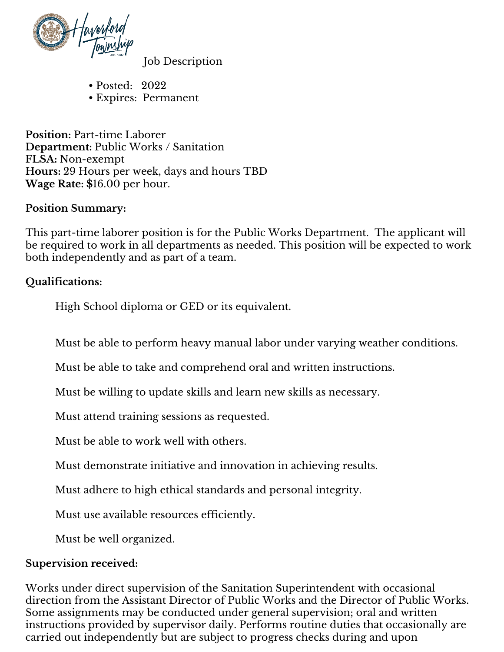

Job Description

- Posted: 2022
- Expires: Permanent

**Position:** Part-time Laborer **Department:** Public Works / Sanitation **FLSA:** Non-exempt **Hours:** 29 Hours per week, days and hours TBD **Wage Rate: \$**16.00 per hour.

#### **Position Summary:**

This part-time laborer position is for the Public Works Department. The applicant will be required to work in all departments as needed. This position will be expected to work both independently and as part of a team.

#### **Qualifications:**

High School diploma or GED or its equivalent.

Must be able to perform heavy manual labor under varying weather conditions.

Must be able to take and comprehend oral and written instructions.

Must be willing to update skills and learn new skills as necessary.

Must attend training sessions as requested.

Must be able to work well with others.

Must demonstrate initiative and innovation in achieving results.

Must adhere to high ethical standards and personal integrity.

Must use available resources efficiently.

Must be well organized.

#### **Supervision received:**

Works under direct supervision of the Sanitation Superintendent with occasional direction from the Assistant Director of Public Works and the Director of Public Works. Some assignments may be conducted under general supervision; oral and written instructions provided by supervisor daily. Performs routine duties that occasionally are carried out independently but are subject to progress checks during and upon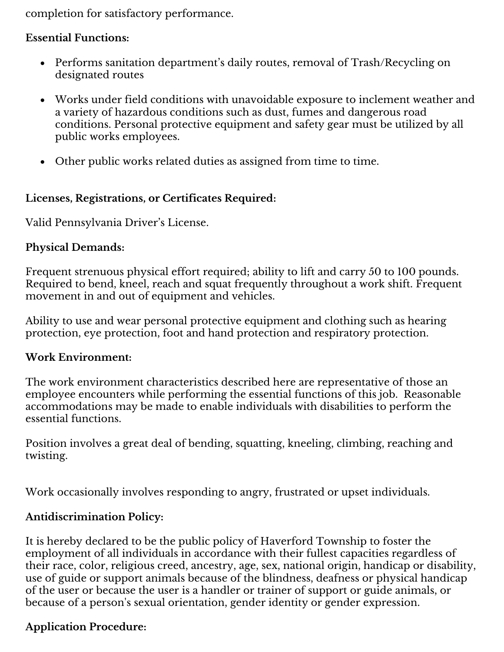completion for satisfactory performance.

### **Essential Functions:**

- Performs sanitation department's daily routes, removal of Trash/Recycling on designated routes
- Works under field conditions with unavoidable exposure to inclement weather and a variety of hazardous conditions such as dust, fumes and dangerous road conditions. Personal protective equipment and safety gear must be utilized by all public works employees.
- Other public works related duties as assigned from time to time.

# **Licenses, Registrations, or Certificates Required:**

Valid Pennsylvania Driver's License.

# **Physical Demands:**

Frequent strenuous physical effort required; ability to lift and carry 50 to 100 pounds. Required to bend, kneel, reach and squat frequently throughout a work shift. Frequent movement in and out of equipment and vehicles.

Ability to use and wear personal protective equipment and clothing such as hearing protection, eye protection, foot and hand protection and respiratory protection.

### **Work Environment:**

The work environment characteristics described here are representative of those an employee encounters while performing the essential functions of this job. Reasonable accommodations may be made to enable individuals with disabilities to perform the essential functions.

Position involves a great deal of bending, squatting, kneeling, climbing, reaching and twisting.

Work occasionally involves responding to angry, frustrated or upset individuals.

# **Antidiscrimination Policy:**

It is hereby declared to be the public policy of Haverford Township to foster the employment of all individuals in accordance with their fullest capacities regardless of their race, color, religious creed, ancestry, age, sex, national origin, handicap or disability, use of guide or support animals because of the blindness, deafness or physical handicap of the user or because the user is a handler or trainer of support or guide animals, or because of a person's sexual orientation, gender identity or gender expression.

# **Application Procedure:**